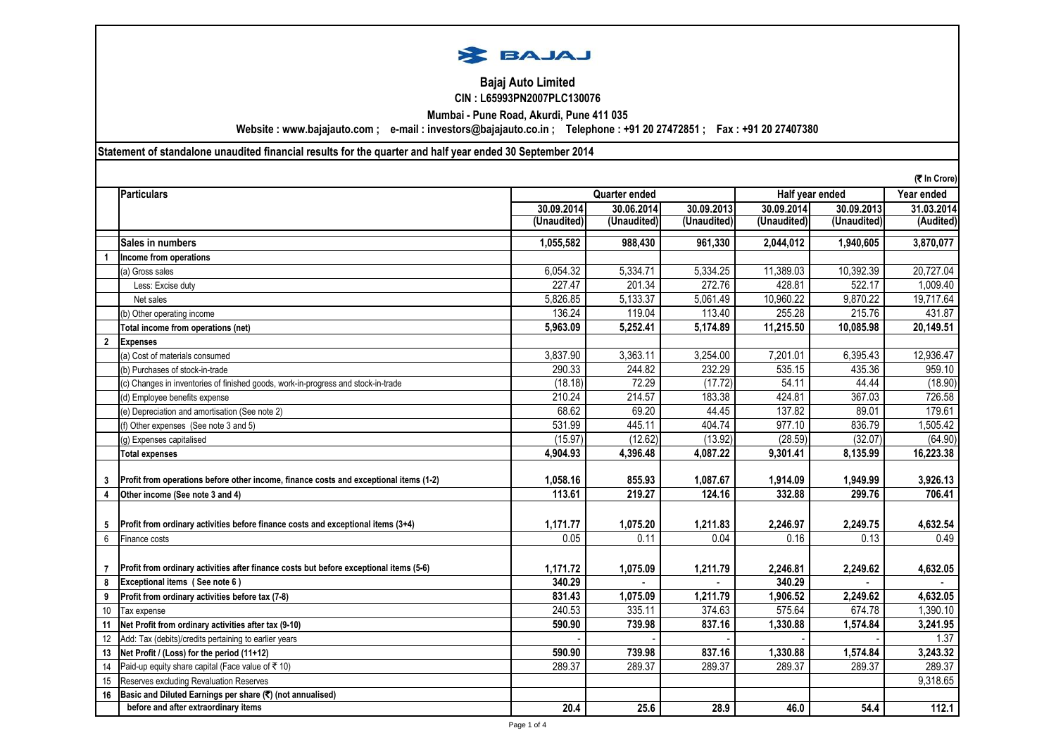

## **CIN : L65993PN2007PLC130076 Bajaj Auto Limited**

**Mumbai - Pune Road, Akurdi, Pune 411 035**

**Website : www.bajajauto.com ; e-mail : investors@bajajauto.co.in ; Telephone : +91 20 27472851 ; Fax : +91 20 27407380**

## **Statement of standalone unaudited financial results for the quarter and half year ended 30 September 2014**

|             |                                                                                        |             |                      |             |                 |             | (₹ In Crore) |
|-------------|----------------------------------------------------------------------------------------|-------------|----------------------|-------------|-----------------|-------------|--------------|
|             | <b>Particulars</b>                                                                     |             | <b>Quarter ended</b> |             | Half year ended |             | Year ended   |
|             |                                                                                        | 30.09.2014  | 30.06.2014           | 30.09.2013  | 30.09.2014      | 30.09.2013  | 31.03.2014   |
|             |                                                                                        | (Unaudited) | (Unaudited)          | (Unaudited) | (Unaudited)     | (Unaudited) | (Audited)    |
|             | Sales in numbers                                                                       | 1,055,582   | 988,430              | 961,330     | 2,044,012       | 1,940,605   | 3,870,077    |
|             | Income from operations                                                                 |             |                      |             |                 |             |              |
|             | (a) Gross sales                                                                        | 6,054.32    | 5,334.71             | 5,334.25    | 11,389.03       | 10,392.39   | 20,727.04    |
|             | Less: Excise duty                                                                      | 227.47      | 201.34               | 272.76      | 428.81          | 522.17      | 1,009.40     |
|             | Net sales                                                                              | 5,826.85    | 5,133.37             | 5,061.49    | 10,960.22       | 9,870.22    | 19,717.64    |
|             | (b) Other operating income                                                             | 136.24      | 119.04               | 113.40      | 255.28          | 215.76      | 431.87       |
|             | Total income from operations (net)                                                     | 5,963.09    | 5,252.41             | 5,174.89    | 11,215.50       | 10,085.98   | 20,149.51    |
| $\mathbf 2$ | <b>Expenses</b>                                                                        |             |                      |             |                 |             |              |
|             | (a) Cost of materials consumed                                                         | 3,837.90    | 3,363.11             | 3,254.00    | 7,201.01        | 6,395.43    | 12,936.47    |
|             | (b) Purchases of stock-in-trade                                                        | 290.33      | 244.82               | 232.29      | 535.15          | 435.36      | 959.10       |
|             | (c) Changes in inventories of finished goods, work-in-progress and stock-in-trade      | (18.18)     | 72.29                | (17.72)     | 54.11           | 44.44       | (18.90)      |
|             | (d) Employee benefits expense                                                          | 210.24      | 214.57               | 183.38      | 424.81          | 367.03      | 726.58       |
|             | (e) Depreciation and amortisation (See note 2)                                         | 68.62       | 69.20                | 44.45       | 137.82          | 89.01       | 179.61       |
|             | (f) Other expenses (See note 3 and 5)                                                  | 531.99      | 445.11               | 404.74      | 977.10          | 836.79      | 1,505.42     |
|             | (g) Expenses capitalised                                                               | (15.97)     | (12.62)              | (13.92)     | (28.59)         | (32.07)     | (64.90)      |
|             | <b>Total expenses</b>                                                                  | 4,904.93    | 4,396.48             | 4,087.22    | 9,301.41        | 8,135.99    | 16,223.38    |
|             |                                                                                        |             |                      |             |                 |             |              |
| 3           | Profit from operations before other income, finance costs and exceptional items (1-2)  | 1,058.16    | 855.93               | 1,087.67    | 1,914.09        | 1,949.99    | 3,926.13     |
| 4           | Other income (See note 3 and 4)                                                        | 113.61      | 219.27               | 124.16      | 332.88          | 299.76      | 706.41       |
|             |                                                                                        |             |                      |             |                 |             |              |
| 5           | Profit from ordinary activities before finance costs and exceptional items (3+4)       | 1,171.77    | 1,075.20             | 1,211.83    | 2,246.97        | 2,249.75    | 4,632.54     |
| 6           | Finance costs                                                                          | 0.05        | 0.11                 | 0.04        | 0.16            | 0.13        | 0.49         |
|             |                                                                                        |             |                      |             |                 |             |              |
|             | Profit from ordinary activities after finance costs but before exceptional items (5-6) | 1,171.72    | 1,075.09             | 1,211.79    | 2,246.81        | 2,249.62    | 4,632.05     |
| 8           | Exceptional items (See note 6)                                                         | 340.29      |                      |             | 340.29          |             |              |
| 9           | Profit from ordinary activities before tax (7-8)                                       | 831.43      | 1,075.09             | 1,211.79    | 1,906.52        | 2,249.62    | 4,632.05     |
| 10          | Tax expense                                                                            | 240.53      | 335.11               | 374.63      | 575.64          | 674.78      | 1,390.10     |
| 11          | Net Profit from ordinary activities after tax (9-10)                                   | 590.90      | 739.98               | 837.16      | 1,330.88        | 1,574.84    | 3,241.95     |
| 12          | Add: Tax (debits)/credits pertaining to earlier years                                  |             |                      |             |                 |             | 1.37         |
| 13          | Net Profit / (Loss) for the period (11+12)                                             | 590.90      | 739.98               | 837.16      | 1,330.88        | 1,574.84    | 3,243.32     |
| 14          | Paid-up equity share capital (Face value of ₹ 10)                                      | 289.37      | 289.37               | 289.37      | 289.37          | 289.37      | 289.37       |
| 15          | Reserves excluding Revaluation Reserves                                                |             |                      |             |                 |             | 9,318.65     |
| 16          | Basic and Diluted Earnings per share (₹) (not annualised)                              |             |                      |             |                 |             |              |
|             | before and after extraordinary items                                                   | 20.4        | 25.6                 | 28.9        | 46.0            | 54.4        | 112.1        |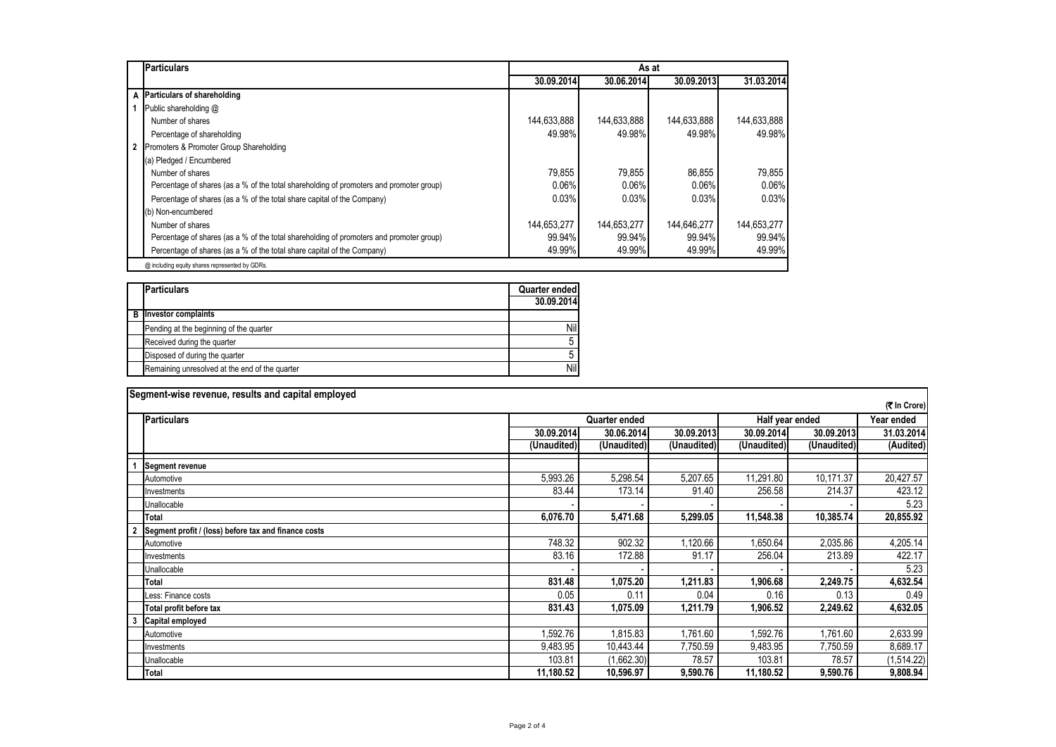| <b>Particulars</b>                                                                      | As at       |             |             |             |  |  |  |  |
|-----------------------------------------------------------------------------------------|-------------|-------------|-------------|-------------|--|--|--|--|
|                                                                                         | 30.09.2014  | 30.06.2014  | 30.09.2013  | 31.03.2014  |  |  |  |  |
| A Particulars of shareholding                                                           |             |             |             |             |  |  |  |  |
| Public shareholding @                                                                   |             |             |             |             |  |  |  |  |
| Number of shares                                                                        | 144,633,888 | 144,633,888 | 144,633,888 | 144,633,888 |  |  |  |  |
| Percentage of shareholding                                                              | 49.98%      | 49.98%      | 49.98%      | 49.98%      |  |  |  |  |
| 2 Promoters & Promoter Group Shareholding                                               |             |             |             |             |  |  |  |  |
| (a) Pledged / Encumbered                                                                |             |             |             |             |  |  |  |  |
| Number of shares                                                                        | 79,855      | 79,855      | 86,855      | 79.855      |  |  |  |  |
| Percentage of shares (as a % of the total shareholding of promoters and promoter group) | 0.06%       | 0.06%       | 0.06%       | 0.06%       |  |  |  |  |
| Percentage of shares (as a % of the total share capital of the Company)                 | 0.03%       | 0.03%       | 0.03%       | 0.03%       |  |  |  |  |
| (b) Non-encumbered                                                                      |             |             |             |             |  |  |  |  |
| Number of shares                                                                        | 144,653,277 | 144,653,277 | 144,646,277 | 144,653,277 |  |  |  |  |
| Percentage of shares (as a % of the total shareholding of promoters and promoter group) | 99.94%      | 99.94%      | 99.94%      | 99.94%      |  |  |  |  |
| Percentage of shares (as a % of the total share capital of the Company)                 | 49.99%      | 49.99%      | 49.99%      | 49.99%      |  |  |  |  |
| @ including equity shares represented by GDRs.                                          |             |             |             |             |  |  |  |  |

| <b>Particulars</b>                             |            |
|------------------------------------------------|------------|
|                                                | 30.09.2014 |
| <b>B</b> Investor complaints                   |            |
| Pending at the beginning of the quarter        | Nil        |
| Received during the quarter                    | 5          |
| Disposed of during the quarter                 | 5          |
| Remaining unresolved at the end of the quarter | Nil        |

|              | Segment-wise revenue, results and capital employed   |             |                      |             |                 |             |            |  |
|--------------|------------------------------------------------------|-------------|----------------------|-------------|-----------------|-------------|------------|--|
| (₹ In Crore) |                                                      |             |                      |             |                 |             |            |  |
|              | <b>Particulars</b>                                   |             | <b>Quarter ended</b> |             | Half year ended |             | Year ended |  |
|              |                                                      | 30.09.2014  | 30.06.2014           | 30.09.2013  | 30.09.2014      | 30.09.2013  | 31.03.2014 |  |
|              |                                                      | (Unaudited) | (Unaudited)          | (Unaudited) | (Unaudited)     | (Unaudited) | (Audited)  |  |
|              | <b>Segment revenue</b>                               |             |                      |             |                 |             |            |  |
|              | Automotive                                           | 5,993.26    | 5,298.54             | 5,207.65    | 11,291.80       | 10,171.37   | 20,427.57  |  |
|              | Investments                                          | 83.44       | 173.14               | 91.40       | 256.58          | 214.37      | 423.12     |  |
|              | Unallocable                                          |             |                      |             |                 |             | 5.23       |  |
|              | <b>Total</b>                                         | 6,076.70    | 5,471.68             | 5,299.05    | 11,548.38       | 10,385.74   | 20,855.92  |  |
|              | Segment profit / (loss) before tax and finance costs |             |                      |             |                 |             |            |  |
|              | Automotive                                           | 748.32      | 902.32               | .120.66     | 1,650.64        | 2,035.86    | 4,205.14   |  |
|              | Investments                                          | 83.16       | 172.88               | 91.17       | 256.04          | 213.89      | 422.17     |  |
|              | Unallocable                                          |             |                      |             |                 |             | 5.23       |  |
|              | <b>Total</b>                                         | 831.48      | 1,075.20             | 1,211.83    | 1,906.68        | 2,249.75    | 4,632.54   |  |
|              | Less: Finance costs                                  | 0.05        | 0.11                 | 0.04        | 0.16            | 0.13        | 0.49       |  |
|              | Total profit before tax                              | 831.43      | 1,075.09             | 1,211.79    | 1,906.52        | 2,249.62    | 4,632.05   |  |
|              | Capital employed                                     |             |                      |             |                 |             |            |  |
|              | Automotive                                           | .592.76     | 1,815.83             | .761.60     | .592.76         | 1,761.60    | 2,633.99   |  |
|              | Investments                                          | 9,483.95    | 10,443.44            | 7,750.59    | 9,483.95        | 7,750.59    | 8,689.17   |  |
|              | Unallocable                                          | 103.81      | (1,662.30)           | 78.57       | 103.81          | 78.57       | (1,514.22) |  |
|              | <b>Total</b>                                         | 11,180.52   | 10,596.97            | 9,590.76    | 11,180.52       | 9,590.76    | 9,808.94   |  |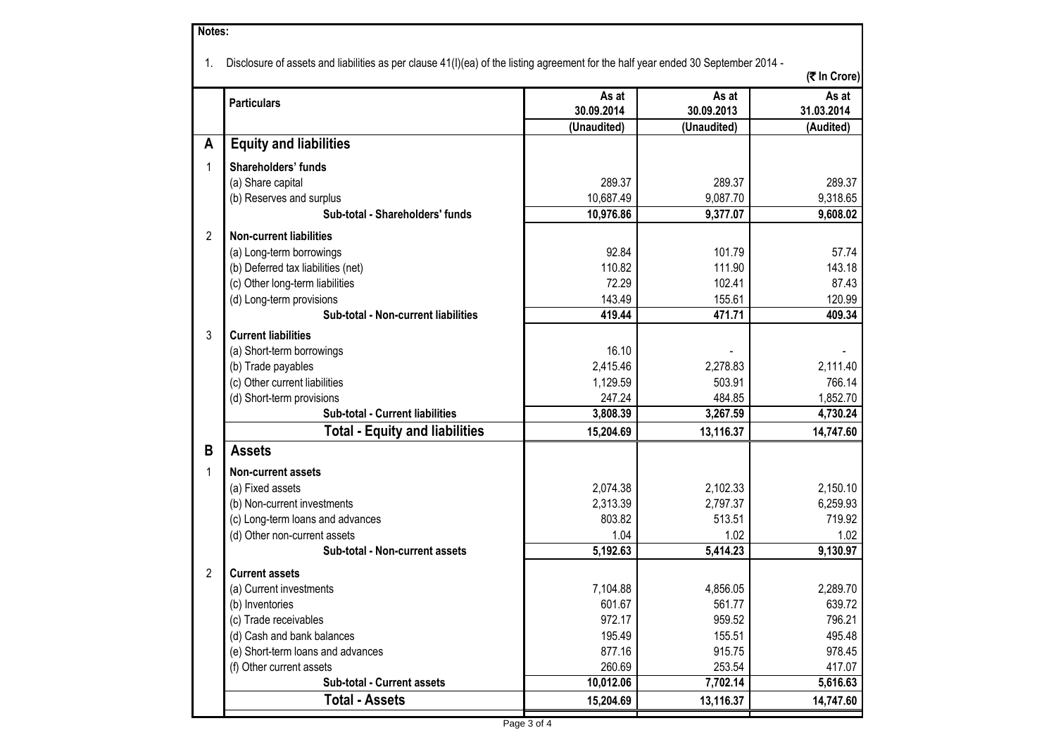| Notes: |                                                                                                                                   |                     |                     |                     |
|--------|-----------------------------------------------------------------------------------------------------------------------------------|---------------------|---------------------|---------------------|
| 1.     | Disclosure of assets and liabilities as per clause 41(I)(ea) of the listing agreement for the half year ended 30 September 2014 - |                     |                     | (そ In Crore)        |
|        | <b>Particulars</b>                                                                                                                | As at<br>30.09.2014 | As at<br>30.09.2013 | As at<br>31.03.2014 |
|        |                                                                                                                                   | (Unaudited)         | (Unaudited)         | (Audited)           |
| A      | <b>Equity and liabilities</b>                                                                                                     |                     |                     |                     |
| 1      | Shareholders' funds                                                                                                               |                     |                     |                     |
|        | (a) Share capital                                                                                                                 | 289.37              | 289.37              | 289.37              |
|        | (b) Reserves and surplus                                                                                                          | 10,687.49           | 9,087.70            | 9,318.65            |
|        | Sub-total - Shareholders' funds                                                                                                   | 10,976.86           | 9,377.07            | 9,608.02            |
| 2      | <b>Non-current liabilities</b>                                                                                                    |                     |                     |                     |
|        | (a) Long-term borrowings                                                                                                          | 92.84               | 101.79              | 57.74               |
|        | (b) Deferred tax liabilities (net)                                                                                                | 110.82              | 111.90              | 143.18              |
|        | (c) Other long-term liabilities                                                                                                   | 72.29               | 102.41              | 87.43               |
|        | (d) Long-term provisions                                                                                                          | 143.49              | 155.61              | 120.99              |
|        | Sub-total - Non-current liabilities                                                                                               | 419.44              | 471.71              | 409.34              |
| 3      | <b>Current liabilities</b>                                                                                                        |                     |                     |                     |
|        | (a) Short-term borrowings                                                                                                         | 16.10               |                     |                     |
|        | (b) Trade payables                                                                                                                | 2,415.46            | 2,278.83            | 2,111.40            |
|        | (c) Other current liabilities                                                                                                     | 1,129.59            | 503.91              | 766.14              |
|        | (d) Short-term provisions                                                                                                         | 247.24              | 484.85              | 1,852.70            |
|        | Sub-total - Current liabilities                                                                                                   | 3,808.39            | 3,267.59            | 4,730.24            |
|        | <b>Total - Equity and liabilities</b>                                                                                             | 15,204.69           | 13,116.37           | 14,747.60           |
| B      | <b>Assets</b>                                                                                                                     |                     |                     |                     |
| 1      | <b>Non-current assets</b>                                                                                                         |                     |                     |                     |
|        | (a) Fixed assets                                                                                                                  | 2,074.38            | 2,102.33            | 2,150.10            |
|        | (b) Non-current investments                                                                                                       | 2,313.39            | 2,797.37            | 6,259.93            |
|        | (c) Long-term loans and advances                                                                                                  | 803.82              | 513.51              | 719.92              |
|        | (d) Other non-current assets                                                                                                      | 1.04                | 1.02                | 1.02                |
|        | Sub-total - Non-current assets                                                                                                    | 5,192.63            | 5,414.23            | 9,130.97            |
| 2      | <b>Current assets</b>                                                                                                             |                     |                     |                     |
|        | (a) Current investments                                                                                                           | 7,104.88            | 4,856.05            | 2,289.70            |
|        | (b) Inventories                                                                                                                   | 601.67              | 561.77              | 639.72              |
|        | (c) Trade receivables                                                                                                             | 972.17              | 959.52              | 796.21              |
|        | (d) Cash and bank balances                                                                                                        | 195.49              | 155.51              | 495.48              |
|        | (e) Short-term loans and advances                                                                                                 | 877.16              | 915.75              | 978.45              |
|        | (f) Other current assets                                                                                                          | 260.69              | 253.54              | 417.07              |
|        | Sub-total - Current assets                                                                                                        | 10,012.06           | 7,702.14            | 5,616.63            |
|        | <b>Total - Assets</b>                                                                                                             | 15,204.69           | 13,116.37           | 14,747.60           |